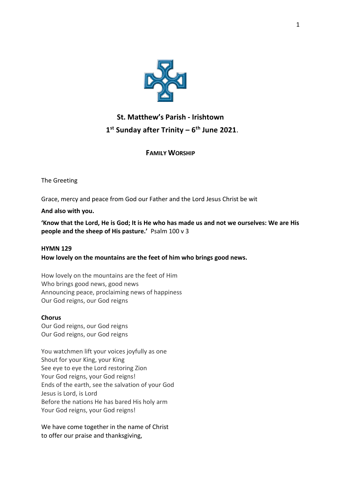

# **St. Matthew's Parish - Irishtown 1 st Sunday after Trinity – 6 th June 2021**.

# **FAMILY WORSHIP**

The Greeting

Grace, mercy and peace from God our Father and the Lord Jesus Christ be wit

**And also with you.** 

**'Know that the Lord, He is God; It is He who has made us and not we ourselves: We are His people and the sheep of His pasture.'** Psalm 100 v 3

# **HYMN 129**

**How lovely on the mountains are the feet of him who brings good news.**

How lovely on the mountains are the feet of Him Who brings good news, good news Announcing peace, proclaiming news of happiness Our God reigns, our God reigns

# **Chorus**

Our God reigns, our God reigns Our God reigns, our God reigns

You watchmen lift your voices joyfully as one Shout for your King, your King See eye to eye the Lord restoring Zion Your God reigns, your God reigns! Ends of the earth, see the salvation of your God Jesus is Lord, is Lord Before the nations He has bared His holy arm Your God reigns, your God reigns!

We have come together in the name of Christ to offer our praise and thanksgiving,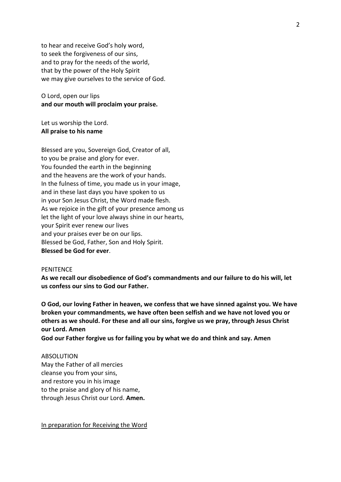to hear and receive God's holy word, to seek the forgiveness of our sins, and to pray for the needs of the world, that by the power of the Holy Spirit we may give ourselves to the service of God.

O Lord, open our lips **and our mouth will proclaim your praise.**

Let us worship the Lord. **All praise to his name**

Blessed are you, Sovereign God, Creator of all, to you be praise and glory for ever. You founded the earth in the beginning and the heavens are the work of your hands. In the fulness of time, you made us in your image, and in these last days you have spoken to us in your Son Jesus Christ, the Word made flesh. As we rejoice in the gift of your presence among us let the light of your love always shine in our hearts, your Spirit ever renew our lives and your praises ever be on our lips. Blessed be God, Father, Son and Holy Spirit. **Blessed be God for ever**.

## **PENITENCE**

**As we recall our disobedience of God's commandments and our failure to do his will, let us confess our sins to God our Father.**

**O God, our loving Father in heaven, we confess that we have sinned against you. We have broken your commandments, we have often been selfish and we have not loved you or others as we should. For these and all our sins, forgive us we pray, through Jesus Christ our Lord. Amen**

**God our Father forgive us for failing you by what we do and think and say. Amen**

#### ABSOLUTION

May the Father of all mercies cleanse you from your sins, and restore you in his image to the praise and glory of his name, through Jesus Christ our Lord. **Amen.**

In preparation for Receiving the Word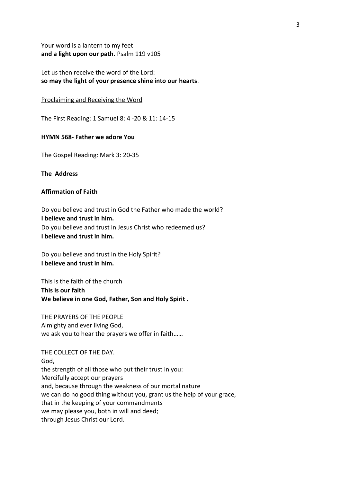Your word is a lantern to my feet **and a light upon our path.** Psalm 119 v105

Let us then receive the word of the Lord: **so may the light of your presence shine into our hearts**.

#### Proclaiming and Receiving the Word

The First Reading: 1 Samuel 8: 4 -20 & 11: 14-15

## **HYMN 568- Father we adore You**

The Gospel Reading: Mark 3: 20-35

**The Address** 

# **Affirmation of Faith**

Do you believe and trust in God the Father who made the world? **I believe and trust in him.** Do you believe and trust in Jesus Christ who redeemed us? **I believe and trust in him.**

Do you believe and trust in the Holy Spirit? **I believe and trust in him.**

This is the faith of the church **This is our faith We believe in one God, Father, Son and Holy Spirit .**

THE PRAYERS OF THE PEOPLE Almighty and ever living God, we ask you to hear the prayers we offer in faith……

THE COLLECT OF THE DAY. God, the strength of all those who put their trust in you: Mercifully accept our prayers and, because through the weakness of our mortal nature we can do no good thing without you, grant us the help of your grace, that in the keeping of your commandments we may please you, both in will and deed; through Jesus Christ our Lord.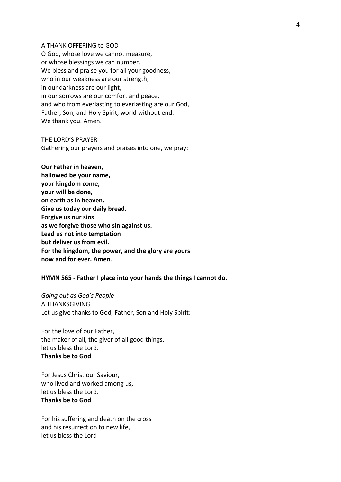A THANK OFFERING to GOD O God, whose love we cannot measure, or whose blessings we can number. We bless and praise you for all your goodness, who in our weakness are our strength, in our darkness are our light, in our sorrows are our comfort and peace, and who from everlasting to everlasting are our God, Father, Son, and Holy Spirit, world without end. We thank you. Amen.

THE LORD'S PRAYER Gathering our prayers and praises into one, we pray:

**Our Father in heaven, hallowed be your name, your kingdom come, your will be done, on earth as in heaven. Give us today our daily bread. Forgive us our sins as we forgive those who sin against us. Lead us not into temptation but deliver us from evil. For the kingdom, the power, and the glory are yours now and for ever. Amen**.

## **HYMN 565 - Father I place into your hands the things I cannot do.**

*Going out as God's People* A THANKSGIVING Let us give thanks to God, Father, Son and Holy Spirit:

For the love of our Father, the maker of all, the giver of all good things, let us bless the Lord. **Thanks be to God**.

For Jesus Christ our Saviour, who lived and worked among us, let us bless the Lord. **Thanks be to God**.

For his suffering and death on the cross and his resurrection to new life, let us bless the Lord